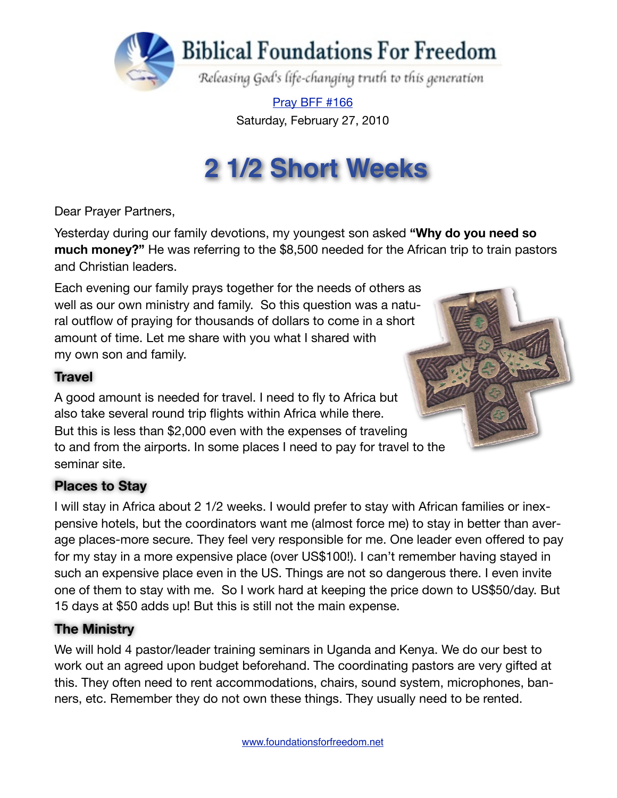

[Pray BFF #166](http://www.foundationsforfreedom.net/Help/TeamsF/Pray/Archives/Pray2009/pdf/PrayBFF166.pdf) Saturday, February 27, 2010

# **2 1/2 Short Weeks**

Dear Prayer Partners,

Yesterday during our family devotions, my youngest son asked **"Why do you need so much money?"** He was referring to the \$8,500 needed for the African trip to train pastors and Christian leaders.

Each evening our family prays together for the needs of others as well as our own ministry and family. So this question was a natural outflow of praying for thousands of dollars to come in a short amount of time. Let me share with you what I shared with my own son and family.

#### **Travel**

A good amount is needed for travel. I need to fly to Africa but also take several round trip flights within Africa while there. But this is less than \$2,000 even with the expenses of traveling to and from the airports. In some places I need to pay for travel to the seminar site.

### **Places to Stay**

I will stay in Africa about 2 1/2 weeks. I would prefer to stay with African families or inexpensive hotels, but the coordinators want me (almost force me) to stay in better than average places-more secure. They feel very responsible for me. One leader even offered to pay for my stay in a more expensive place (over US\$100!). I can't remember having stayed in such an expensive place even in the US. Things are not so dangerous there. I even invite one of them to stay with me. So I work hard at keeping the price down to US\$50/day. But 15 days at \$50 adds up! But this is still not the main expense.

#### **The Ministry**

We will hold 4 pastor/leader training seminars in Uganda and Kenya. We do our best to work out an agreed upon budget beforehand. The coordinating pastors are very gifted at this. They often need to rent accommodations, chairs, sound system, microphones, banners, etc. Remember they do not own these things. They usually need to be rented.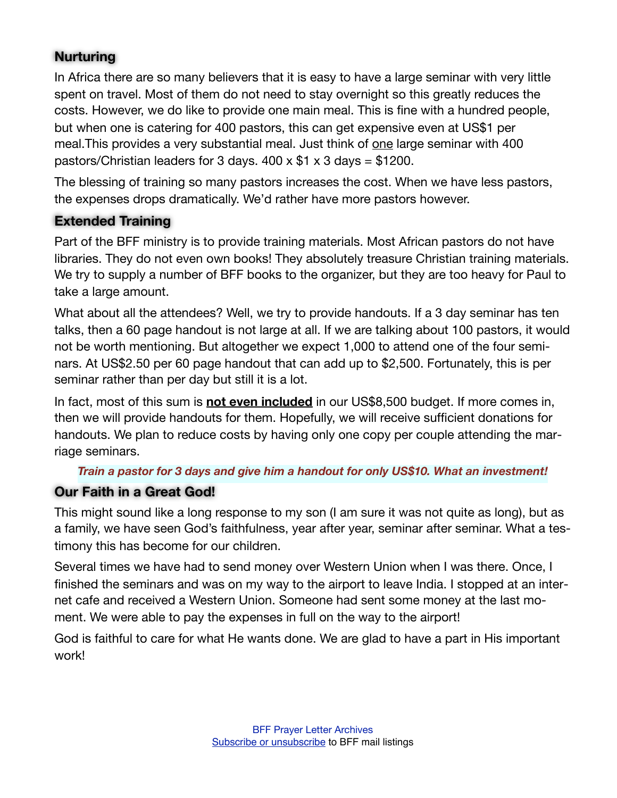#### **Nurturing**

In Africa there are so many believers that it is easy to have a large seminar with very little spent on travel. Most of them do not need to stay overnight so this greatly reduces the costs. However, we do like to provide one main meal. This is fine with a hundred people, but when one is catering for 400 pastors, this can get expensive even at US\$1 per meal. This provides a very substantial meal. Just think of one large seminar with 400 pastors/Christian leaders for 3 days.  $400 \times $1 \times 3$  days = \$1200.

The blessing of training so many pastors increases the cost. When we have less pastors, the expenses drops dramatically. We'd rather have more pastors however.

#### **Extended Training**

Part of the BFF ministry is to provide training materials. Most African pastors do not have libraries. They do not even own books! They absolutely treasure Christian training materials. We try to supply a number of BFF books to the organizer, but they are too heavy for Paul to take a large amount.

What about all the attendees? Well, we try to provide handouts. If a 3 day seminar has ten talks, then a 60 page handout is not large at all. If we are talking about 100 pastors, it would not be worth mentioning. But altogether we expect 1,000 to attend one of the four seminars. At US\$2.50 per 60 page handout that can add up to \$2,500. Fortunately, this is per seminar rather than per day but still it is a lot.

In fact, most of this sum is **not even included** in our US\$8,500 budget. If more comes in, then we will provide handouts for them. Hopefully, we will receive sufficient donations for handouts. We plan to reduce costs by having only one copy per couple attending the marriage seminars.

#### *Train a pastor for 3 days and give him a handout for only US\$10. What an investment!*

#### **Our Faith in a Great God!**

This might sound like a long response to my son (I am sure it was not quite as long), but as a family, we have seen God's faithfulness, year after year, seminar after seminar. What a testimony this has become for our children.

Several times we have had to send money over Western Union when I was there. Once, I finished the seminars and was on my way to the airport to leave India. I stopped at an internet cafe and received a Western Union. Someone had sent some money at the last moment. We were able to pay the expenses in full on the way to the airport!

God is faithful to care for what He wants done. We are glad to have a part in His important work!